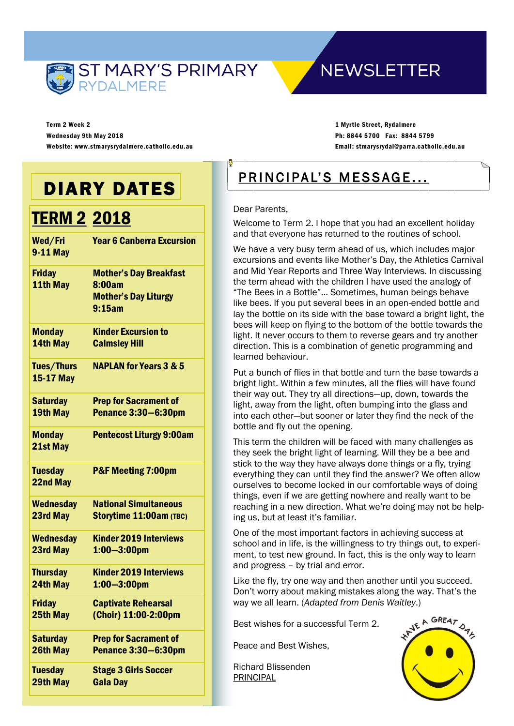

### **NEWSLETTER**

Term 2 Week 2 Wednesday 9th May 2018 Website: www.stmarysrydalmere.catholic.edu.au

1 Myrtle Street, Rydalmere Ph: 8844 5700 Fax: 8844 5799 Email: stmarysrydal@parra.catholic.edu.au

## DIARY DATES

### **TERM 2 2018**

| Wed/Fri<br><b>9-11 May</b>     | <b>Year 6 Canberra Excursion</b>                                                 |
|--------------------------------|----------------------------------------------------------------------------------|
| <b>Friday</b><br>11th May      | <b>Mother's Day Breakfast</b><br>8:00am<br><b>Mother's Day Liturgy</b><br>9:15am |
| <b>Monday</b>                  | <b>Kinder Excursion to</b>                                                       |
| 14th May                       | <b>Calmsley Hill</b>                                                             |
| <b>Tues/Thurs</b><br>15-17 May | <b>NAPLAN for Years 3 &amp; 5</b>                                                |
| <b>Saturday</b>                | <b>Prep for Sacrament of</b>                                                     |
| 19th May                       | <b>Penance 3:30-6:30pm</b>                                                       |
| <b>Monday</b><br>21st May      | <b>Pentecost Liturgy 9:00am</b>                                                  |
| <b>Tuesday</b><br>22nd May     | <b>P&amp;F Meeting 7:00pm</b>                                                    |
| <b>Wednesday</b>               | <b>National Simultaneous</b>                                                     |
| 23rd May                       | Storytime 11:00am (TBC)                                                          |
| <b>Wednesday</b>               | <b>Kinder 2019 Interviews</b>                                                    |
| 23rd May                       | $1:00 - 3:00$ pm                                                                 |
| <b>Thursday</b>                | <b>Kinder 2019 Interviews</b>                                                    |
| 24th May                       | $1:00 - 3:00$ pm                                                                 |
| <b>Friday</b>                  | <b>Captivate Rehearsal</b>                                                       |
| 25th May                       | (Choir) 11:00-2:00pm                                                             |
| <b>Saturday</b>                | <b>Prep for Sacrament of</b>                                                     |
| 26th May                       | <b>Penance 3:30-6:30pm</b>                                                       |
| <b>Tuesday</b>                 | <b>Stage 3 Girls Soccer</b>                                                      |
| 29th May                       | <b>Gala Day</b>                                                                  |

## PRINCIPAL'S MESSAGE...

#### Dear Parents,

Welcome to Term 2. I hope that you had an excellent holiday and that everyone has returned to the routines of school.

We have a very busy term ahead of us, which includes major excursions and events like Mother's Day, the Athletics Carnival and Mid Year Reports and Three Way Interviews. In discussing the term ahead with the children I have used the analogy of "The Bees in a Bottle"… Sometimes, human beings behave like bees. If you put several bees in an open-ended bottle and lay the bottle on its side with the base toward a bright light, the bees will keep on flying to the bottom of the bottle towards the light. It never occurs to them to reverse gears and try another direction. This is a combination of genetic programming and learned behaviour.

Put a bunch of flies in that bottle and turn the base towards a bright light. Within a few minutes, all the flies will have found their way out. They try all directions—up, down, towards the light, away from the light, often bumping into the glass and into each other—but sooner or later they find the neck of the bottle and fly out the opening.

This term the children will be faced with many challenges as they seek the bright light of learning. Will they be a bee and stick to the way they have always done things or a fly, trying everything they can until they find the answer? We often allow ourselves to become locked in our comfortable ways of doing things, even if we are getting nowhere and really want to be reaching in a new direction. What we're doing may not be helping us, but at least it's familiar.

One of the most important factors in achieving success at school and in life, is the willingness to try things out, to experiment, to test new ground. In fact, this is the only way to learn and progress – by trial and error.

Like the fly, try one way and then another until you succeed. Don't worry about making mistakes along the way. That's the way we all learn. (*Adapted from Denis Waitley*.)

Best wishes for a successful Term 2.

Peace and Best Wishes,

Richard Blissenden PRINCIPAL

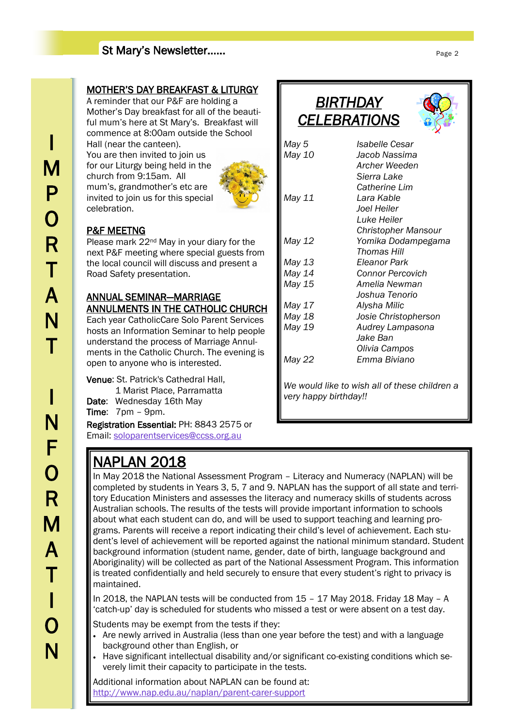#### St Mary's Newsletter……

#### MOTHER'S DAY BREAKFAST & LITURGY

A reminder that our P&F are holding a Mother's Day breakfast for all of the beautiful mum's here at St Mary's. Breakfast will commence at 8:00am outside the School Hall (near the canteen).

You are then invited to join us for our Liturgy being held in the church from 9:15am. All mum's, grandmother's etc are invited to join us for this special celebration.



#### P&F MEETNG

Please mark 22nd May in your diary for the next P&F meeting where special guests from the local council will discuss and present a Road Safety presentation.

#### ANNUAL SEMINAR—MARRIAGE ANNULMENTS IN THE CATHOLIC CHURCH

Each year CatholicCare Solo Parent Services hosts an Information Seminar to help people understand the process of Marriage Annulments in the Catholic Church. The evening is open to anyone who is interested.

Venue: St. Patrick's Cathedral Hall, 1 Marist Place, Parramatta Date: Wednesday 16th May Time: 7pm – 9pm. Registration Essential: PH: 8843 2575 or Email: [soloparentservices@ccss.org.au](mailto:soloparentservices@ccss.org.au)

## NAPLAN 2018

*BIRTHDAY CELEBRATIONS* 



| May 5  | Isabelle Cesar                                |
|--------|-----------------------------------------------|
| May 10 | Jacob Nassima                                 |
|        | Archer Weeden                                 |
|        | Sierra Lake                                   |
|        | <b>Catherine Lim</b>                          |
| May 11 | Lara Kable                                    |
|        | Joel Heiler                                   |
|        | Luke Heiler                                   |
|        | <b>Christopher Mansour</b>                    |
| May 12 | Yomika Dodampegama                            |
|        | Thomas Hill                                   |
| May 13 | Eleanor Park                                  |
| May 14 | Connor Percovich                              |
| May 15 | Amelia Newman                                 |
|        | Joshua Tenorio                                |
| May 17 | Alysha Milic                                  |
| May 18 | Josie Christopherson                          |
| May 19 | Audrey Lampasona                              |
|        | Jake Ban                                      |
|        | Olivia Campos                                 |
| May 22 | Emma Biviano                                  |
|        | We would like to wish all of these children a |

*very happy birthday!!*

In May 2018 the National Assessment Program – Literacy and Numeracy (NAPLAN) will be completed by students in Years 3, 5, 7 and 9. NAPLAN has the support of all state and territory Education Ministers and assesses the literacy and numeracy skills of students across Australian schools. The results of the tests will provide important information to schools about what each student can do, and will be used to support teaching and learning programs. Parents will receive a report indicating their child's level of achievement. Each student's level of achievement will be reported against the national minimum standard. Student background information (student name, gender, date of birth, language background and Aboriginality) will be collected as part of the National Assessment Program. This information is treated confidentially and held securely to ensure that every student's right to privacy is maintained.

In 2018, the NAPLAN tests will be conducted from 15 – 17 May 2018. Friday 18 May – A 'catch-up' day is scheduled for students who missed a test or were absent on a test day.

Students may be exempt from the tests if they:

- Are newly arrived in Australia (less than one year before the test) and with a language background other than English, or
- Have significant intellectual disability and/or significant co-existing conditions which severely limit their capacity to participate in the tests.

Additional information about NAPLAN can be found at: <http://www.nap.edu.au/naplan/parent-carer-support>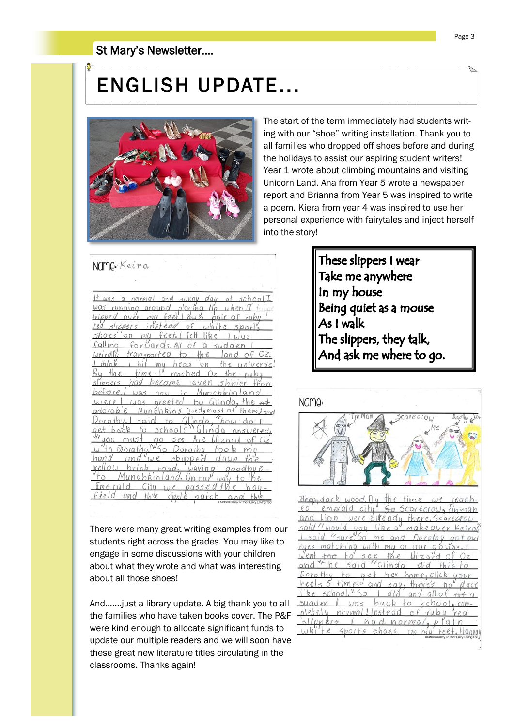#### St Mary's Newsletter….

## ENGLISH UPDATE...



 $MMSM \times 1$ 

The start of the term immediately had students writing with our "shoe" writing installation. Thank you to all families who dropped off shoes before and during the holidays to assist our aspiring student writers! Year 1 wrote about climbing mountains and visiting Unicorn Land. Ana from Year 5 wrote a newspaper report and Brianna from Year 5 was inspired to write a poem. Kiera from year 4 was inspired to use her personal experience with fairytales and inject herself into the story!

| <b>INCIL IFI:</b> User Lan                                                                     |
|------------------------------------------------------------------------------------------------|
|                                                                                                |
| It was a normal and sunny day of school, I                                                     |
| was running ground playing tip<br>$uhen$ <sup><math>\overline{1}</math></sup>                  |
| <i>ripped</i> over<br>mu feet.<br>ruby<br>$3a$ W                                               |
| slippers inst<br>$\circ$<br>$5 \text{Port}$                                                    |
| $-$ 0 $n$<br>l:Ь<br>mu                                                                         |
| `gll ina<br>fori.0<br>subde                                                                    |
| weirdlu tr<br>ansported<br>$-$ the<br>of Oz.                                                   |
| I hit my head on<br>time I reached Oz<br>$f h$ in k<br>the universe.<br>$the - ru$<br>$x + he$ |
| injer than<br>had<br>become eve<br>IDDCYS<br>51                                                |
| hefore<br>$\cdots$                                                                             |
| $was$ oreeted<br>$divoda, the$ ad                                                              |
| Munchkins Cwell, most of<br>them) and                                                          |
| how do<br>to Glinda."<br>3010                                                                  |
| 5ch00<br>answered<br>tο                                                                        |
| 5e<br>$2$ and $9f$ $0z$                                                                        |
| m <sub>u</sub><br>orothu<br>$\circ$                                                            |
| 5010<br>$i$ $\alpha$ $\alpha$ $\alpha$                                                         |
|                                                                                                |
| ์ : Hu<br>(12                                                                                  |
|                                                                                                |
|                                                                                                |

There were many great writing examples from our students right across the grades. You may like to engage in some discussions with your children about what they wrote and what was interesting about all those shoes!

And…….just a library update. A big thank you to all the families who have taken books cover. The P&F were kind enough to allocate significant funds to update our multiple readers and we will soon have these great new literature titles circulating in the classrooms. Thanks again!

These slippers I wear Take me anywhere In my house Being quiet as a mouse As I walk The slippers, they talk, And ask me where to go.



 $Wedd.$  $5100$ novmal  $ha$  $normq$  $(x|n)$